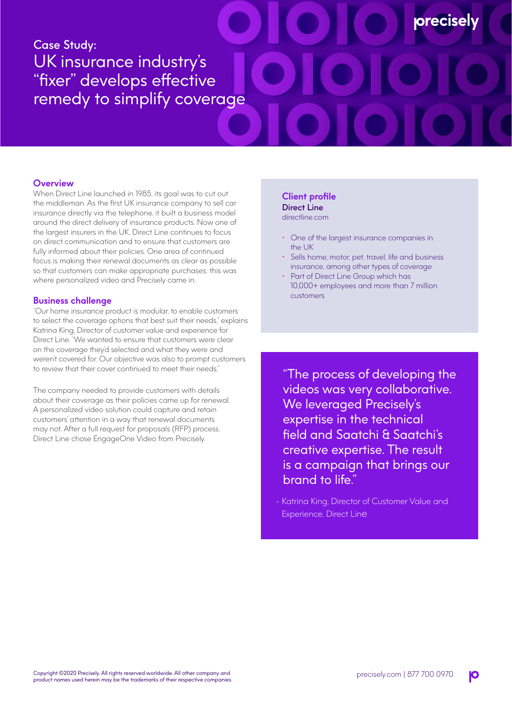# Case Study: UK insurance industry's "fixer" develops effective remedy to simplify coverage

#### **Overview**

When Direct Line launched in 1985, its goal was to cut out the middleman. As the first UK insurance company to sell car insurance directly via the telephone, it built a business model around the direct delivery of insurance products. Now one of the largest insurers in the UK, Direct Line continues to focus on direct communication and to ensure that customers are fully informed about their policies. One area of continued focus is making their renewal documents as clear as possible so that customers can make appropriate purchases; this was where personalized video and Precisely came in.

#### **Business challenge**

"Our home insurance product is modular, to enable customers to select the coverage options that best suit their needs," explains Katrina King, Director of customer value and experience for Direct Line. "We wanted to ensure that customers were clear on the coverage they'd selected and what they were and weren't covered for. Our objective was also to prompt customers to review that their cover continued to meet their needs."

The company needed to provide customers with details about their coverage as their policies came up for renewal. A personalized video solution could capture and retain customers' attention in a way that renewal documents may not. After a full request for proposals (RFP) process, Direct Line chose EngageOne Video from Precisely.

### **Client profile** Direct Line

directline.com

- One of the largest insurance companies in the UK
- Sells home, motor, pet, travel, life and business insurance, among other types of coverage

**orecisel** 

Part of Direct Line Group which has 10,000+ employees and more than 7 million customers

"The process of developing the videos was very collaborative. We leveraged Precisely's expertise in the technical field and Saatchi & Saatchi's creative expertise. The result is a campaign that brings our brand to life."

- Katrina King, Director of Customer Value and Experience, Direct Line